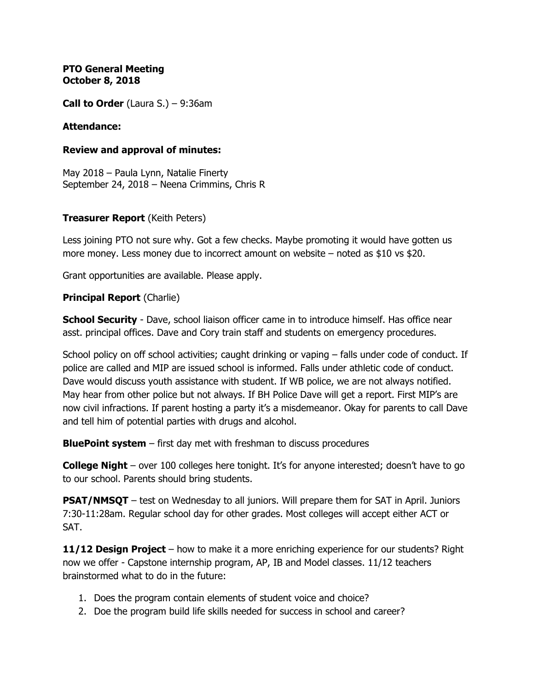#### **PTO General Meeting October 8, 2018**

**Call to Order** (Laura S.) – 9:36am

### **Attendance:**

### **Review and approval of minutes:**

May 2018 – Paula Lynn, Natalie Finerty September 24, 2018 – Neena Crimmins, Chris R

## **Treasurer Report** (Keith Peters)

Less joining PTO not sure why. Got a few checks. Maybe promoting it would have gotten us more money. Less money due to incorrect amount on website – noted as \$10 vs \$20.

Grant opportunities are available. Please apply.

### **Principal Report** (Charlie)

**School Security** - Dave, school liaison officer came in to introduce himself. Has office near asst. principal offices. Dave and Cory train staff and students on emergency procedures.

School policy on off school activities; caught drinking or vaping – falls under code of conduct. If police are called and MIP are issued school is informed. Falls under athletic code of conduct. Dave would discuss youth assistance with student. If WB police, we are not always notified. May hear from other police but not always. If BH Police Dave will get a report. First MIP's are now civil infractions. If parent hosting a party it's a misdemeanor. Okay for parents to call Dave and tell him of potential parties with drugs and alcohol.

**BluePoint system** – first day met with freshman to discuss procedures

**College Night** – over 100 colleges here tonight. It's for anyone interested; doesn't have to go to our school. Parents should bring students.

**PSAT/NMSQT** – test on Wednesday to all juniors. Will prepare them for SAT in April. Juniors 7:30-11:28am. Regular school day for other grades. Most colleges will accept either ACT or SAT.

**11/12 Design Project** – how to make it a more enriching experience for our students? Right now we offer - Capstone internship program, AP, IB and Model classes. 11/12 teachers brainstormed what to do in the future:

- 1. Does the program contain elements of student voice and choice?
- 2. Doe the program build life skills needed for success in school and career?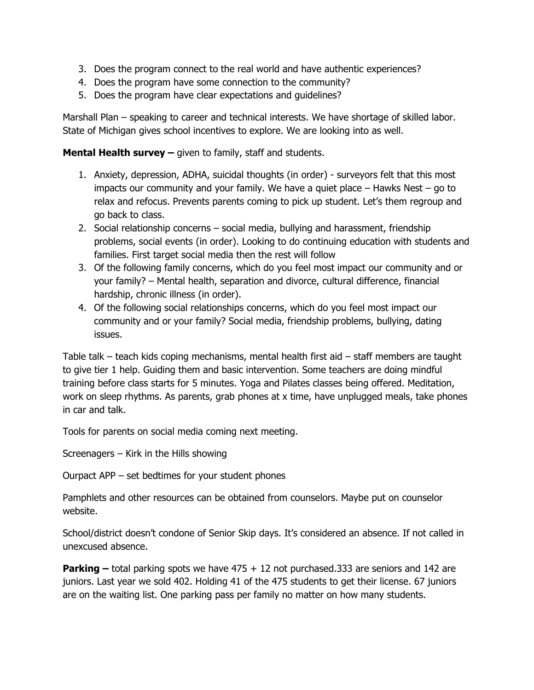- 3. Does the program connect to the real world and have authentic experiences?
- 4. Does the program have some connection to the community?
- 5. Does the program have clear expectations and guidelines?

Marshall Plan – speaking to career and technical interests. We have shortage of skilled labor. State of Michigan gives school incentives to explore. We are looking into as well.

**Mental Health survey –** given to family, staff and students.

- 1. Anxiety, depression, ADHA, suicidal thoughts (in order) surveyors felt that this most impacts our community and your family. We have a quiet place – Hawks Nest – go to relax and refocus. Prevents parents coming to pick up student. Let's them regroup and go back to class.
- 2. Social relationship concerns social media, bullying and harassment, friendship problems, social events (in order). Looking to do continuing education with students and families. First target social media then the rest will follow
- 3. Of the following family concerns, which do you feel most impact our community and or your family? – Mental health, separation and divorce, cultural difference, financial hardship, chronic illness (in order).
- 4. Of the following social relationships concerns, which do you feel most impact our community and or your family? Social media, friendship problems, bullying, dating issues.

Table talk – teach kids coping mechanisms, mental health first aid – staff members are taught to give tier 1 help. Guiding them and basic intervention. Some teachers are doing mindful training before class starts for 5 minutes. Yoga and Pilates classes being offered. Meditation, work on sleep rhythms. As parents, grab phones at x time, have unplugged meals, take phones in car and talk.

Tools for parents on social media coming next meeting.

Screenagers – Kirk in the Hills showing

Ourpact APP – set bedtimes for your student phones

Pamphlets and other resources can be obtained from counselors. Maybe put on counselor website.

School/district doesn't condone of Senior Skip days. It's considered an absence. If not called in unexcused absence.

**Parking** – total parking spots we have 475 + 12 not purchased.333 are seniors and 142 are juniors. Last year we sold 402. Holding 41 of the 475 students to get their license. 67 juniors are on the waiting list. One parking pass per family no matter on how many students.